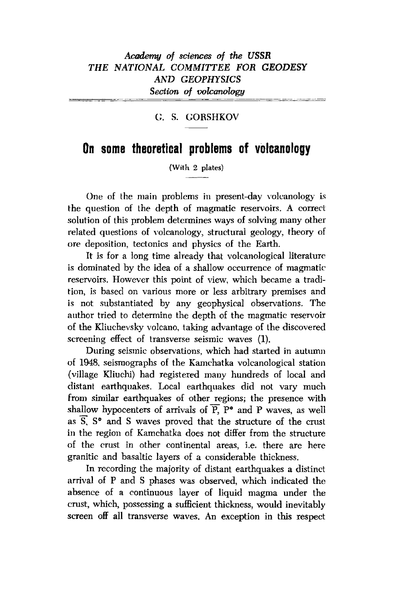## G. S. GORSHKOV

# **On some theoretical problems of volcanology**

### **(With 2 plates)**

One of the main problems in present-day volcanology is the question of the depth of magmatic reservoirs. A correct solution of this problem determines ways of solving many other related questions of volcanoiogy, structural geology, theory of ore deposition, tectonics and physics of the Earth.

It is for a long time already that volcanological literature is dominated by the idea of a shallow occurrence of magmatic reservoirs. However this point of view, which became a tradition, is based on various more or less arbitrary premises and is not substantiated by any geophysical observations. The author tried to determine the depth of the magmatic reservoir of the Kliuchevsky volcano, taking advantage of the discovered screening effect of transverse seismic waves (1).

During seismic observations, which had started in autumn of 1948, seismographs of the Kamchatka volcanological station (village Kliuchi) had registered many hundreds of local and distant earthquakes. Local earthquakes did not vary much from similar earthquakes of other regions; the presence with shallow hypocenters of arrivals of  $\overline{P}$ ,  $P^*$  and P waves, as well as  $\overline{S}$ ,  $S^*$  and S waves proved that the structure of the crust in the region of Kamchatka does not differ from the structure of the crust in other continental areas, i.e. there are here granitic and basaltic layers of a considerable thickness.

In recording the majority of distant earthquakes a distinct arrival of P and S phases was observed, which indicated the absence of a continuous layer of liquid magma under the crust, which, possessing a sufficient thickness, would inevitably screen off all transverse waves. An exception in this respect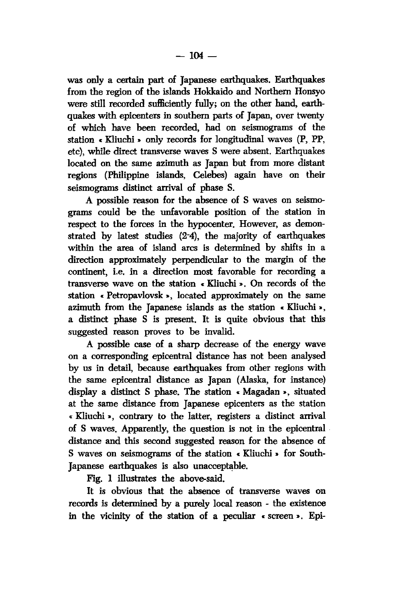was only a certain part of Japanese earthquakes. Earthquakes from the region of the islands Hokkaido and Northern Honsyo were still recorded sufficiently fully; on the other hand, earthquakes with epicenters in southern parts of Japan, over twenty of which have been recorded, had on seismograms of the station • Kliuchi • only records for longitudinal waves (P, PP, ete), while direct transverse waves S were absent. Earthquakes located on the same azimuth as Japan but from more distant regions (Philippine islands, Celebes) again have on their seismograms distinct arrival of phase S.

A possible reason for the absence of S waves on seismograms could be the unfavorable position of the station in respect to the forces in the hypocenter. However, as demonstrated by latest studies (2-4), the maiority of earthquakes within the area of island arcs is determined by shifts in a direction approximately perpondieular to the margin of the continent, i.e. in a direction most favorable for recording a transverse wave on the station • Kliuchi ~. On records of the station « Petropavlovsk », located approximately on the same azimuth from the Japanese islands as the station « Kliuchi », a distinct phase S is present. It is quite obvious that this suggested reason proves to be invalid.

A possible case of a sharp decrease of the energy wave on a corresponding epicentral distance has not been analysed by us in detail, because earthquakes from other regions with the same epicentral distance as Japan (Alaska, for instance) display a distinct S phase. The station  $\cdot$  Magadan  $\cdot$ , situated at the same distance from Japanese epicenters as the station • Kliuehi ,, contrary to the latter, registers a distinct arrival of S waves. Apparently, the question is not in the epicentral distance and this second suggested reason for the absence of S waves on seismograms of the station • Kliuchi • for South-Japanese earthquakes is also unacceptable.

Fig. 1 illustrates the above-said.

It is obvious that the absence of transverse waves on records is determined by a purely local reason - the existence in the vicinity of the station of a peculiar  $\epsilon$  screen  $\ast$ . Epi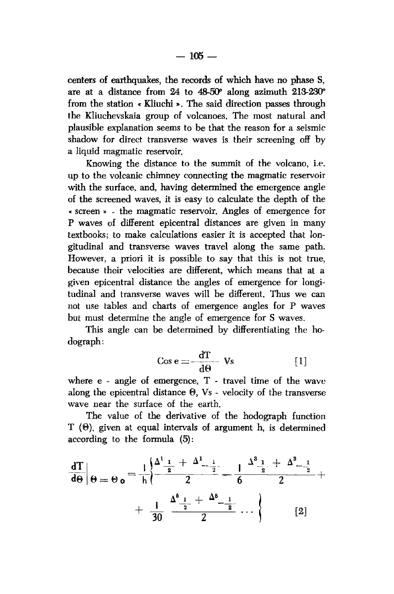centers of earthquakes, the records of which have no phase S, are at a distance from  $24$  to  $48-50^{\circ}$  along azimuth  $213-230^{\circ}$ from the station « Kliuchi ». The said direction passes through the Kliuchevskaia group of volcanoes. The most natural and plausible explanation seems to be that the reason for a seismic shadow for direct transverse waves is their screening off by a liquid magmatic reservoir.

Knowing the distance to the summit of the volcano, i.e. up to the volcanic chimney connecting the magmatic reservoir with the surface, and, having determined the emergence angle of the screened waves, it is easy to calculate the depth of the , screen ~ - the magrnatic reservoir. Angles of emergence for P waves of different epicentral distances are given in many textbooks; to make calculations easier it is accepted that longitudinal and transverse waves travel along the same path. However, a priori it is possible to say that this is not true, because their velocities are different, which means that at a given epicentral distance the angles of emergence for longitudinal and transverse waves will be different. Thus we can not use tables and charts of emergence angles for P waves but must determine the angle of emergence for S waves.

This angle can be determined by differentiating the hodograph:

$$
\cos e = \frac{dT}{d\theta} \quad \text{Vs} \tag{1}
$$

where e - angle of emergence, T - travel time of the wave along the epicentral distance  $\Theta$ , Vs - velocity of the transverse wave near the surface of the earth.

The value of the derivative of the hodograph function  $T(\Theta)$ , given at equal intervals of argument h, is determined according to the formula (5):

$$
\frac{dT}{d\theta}\Big|_{\theta = \theta_0} = \frac{1}{h} \Big|_{\frac{\Delta^1 \frac{1}{2} + \Delta^1 \frac{1}{2}}{2} - \frac{1}{6} \frac{\Delta^3 \frac{1}{2} + \Delta^3 \frac{1}{2}}{2} + \frac{1}{30} \frac{\Delta^6 \frac{1}{2} + \Delta^5 \frac{1}{2}}{2} \cdots \Big|}
$$
 [2]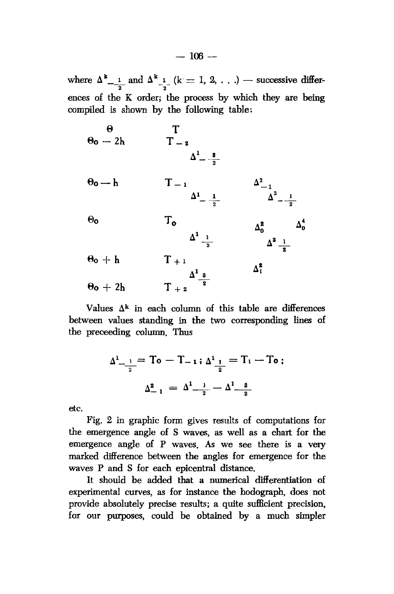where  $\Delta^k_{-\frac{1}{2}}$  and  $\Delta^k_{-\frac{1}{2}}$  (k = 1, 2, ...) - successive differences of the K order; the process by which they are being compiled is shown by the following table:



Values  $\Delta^k$  in each column of this table are differences between values standing in the two corresponding lines of the preceeding column. Thus

$$
\Delta^{1} \underline{\ }_{\frac{1}{2}} = \mathrm{To} - \mathrm{T}_{-1} ; \Delta^{1} \underline{\ }_{\frac{1}{2}} = \mathrm{T}_{1} - \mathrm{T}_{0} ;
$$

$$
\Delta^{2} \underline{\ }_{1} = \Delta^{1} \underline{\ }_{\frac{1}{2}} - \Delta^{1} \underline{\ }_{\frac{3}{2}}
$$

etc.

Fig. 2 in graphic form gives results of computations for the emergence angle of S waves, as well as a chart for the emergence angle of P waves. As we see there is a very marked difference between the angles for emergence for the waves P and S for each epicentral distance.

It should be added that a numerical differentiation of experimental curves, as for instance the hodograph, does not provide absolutely precise results; a quite sufficient precision, for our purposes, could be obtained by a much simpler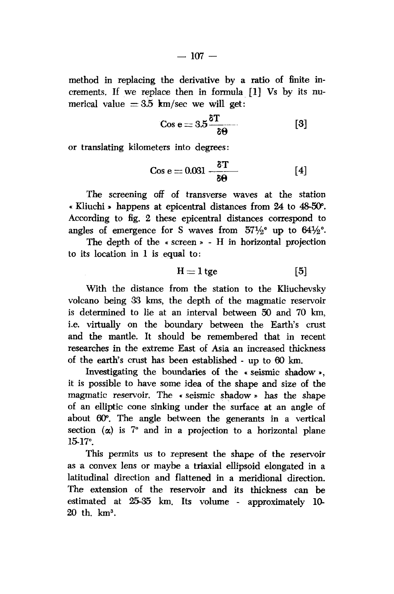method in replacing the derivative by a ratio of finite increments. If we replace then in formula [1] *Vs* by its numerical value  $=3.5$  km/sec we will get:

$$
\cos e = 3.5 \frac{\delta T}{\delta \Theta} \tag{3}
$$

or translating kilometers into degrees:

$$
\cos e = 0.031 \frac{\delta T}{\delta \theta} \tag{4}
$$

The screening off of transverse waves at the station Kliuchi • happens at epicentral distances from 24 to 48-50 °. According to fig. 2 these epicentral distances correspond to angles of emergence for S waves from  $57\frac{1}{2}$  up to  $64\frac{1}{2}$ .

The depth of the  $\ast$  screen  $\ast$  - H in horizontal projection to its location in 1 is equal to:

$$
H = 1 \text{ tge } [5]
$$

With the distance from the station to the Kliuchevsky volcano being 38 kms, the depth of the magmatic reservoir is determined to lie at an interval between 50 and 70 km, i.e. virtually on the boundary between the Earth's crust and the mantle. It should be remembered that in recent researches in the extreme East of *Asia* an increased thickness of the earth's crust has been established - up to 60 km.

Investigating the boundaries of the • seismic shadow ,, it is possible to have some idea of the shape and size of the magmatic reservoir. The  $\ast$  seismic shadow  $\ast$  has the shape of an elliptic cone sinking under the surface at an angle of about 60°. The angle between the generants in a vertical section  $(\alpha)$  is 7° and in a projection to a horizontal plane 15-17°.

This permits us to represent the shape of the reservoir as a convex lens or maybe a triaxial ellipsoid elongated in a latitudinal direction and flattened in a meridional direction. The extension of the reservoir and its thickness can be estimated at  $25-35$  km. Its volume - approximately  $10-$ 20 th. km<sup>3</sup>.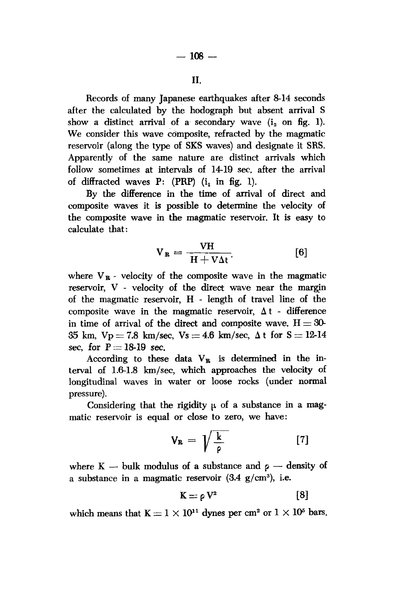Records of many Japanese earthquakes after 8-14 seconds after the calculated by the hodograph but absent arrival S show a distinct arrival of a secondary wave  $(i_2 \text{ on } fig. 1)$ . We consider this wave composite, refracted by the magmatic reservoir (along the type of SKS waves) and designate it SRS. Apparently of the same nature are distinct arrivals which follow sometimes at intervals of 14-19 sec. after the arrival of diffracted waves P:  $(PRP)$  (i<sub>1</sub> in fig. 1).

By the difference in the time of arrival of direct and composite waves it is possible to determine the velocity of the composite wave in the magmatic reservoir. It is easy to calculate that:

$$
V_{R} = \frac{VH}{H + V\Delta t}.
$$
 [6]

where  $V_R$ - velocity of the composite wave in the magmatic reservoir, V - velocity of the direct wave near the margin of the magmatic reservoir, H - length of travel line of the composite wave in the magmatic reservoir,  $\Delta t$  - difference in time of arrival of the direct and composite wave.  $H=30-$ 35 km,  $Vp = 7.8$  km/sec,  $Vs = 4.6$  km/sec,  $\Delta t$  for  $S = 12-14$ sec, for  $P = 18-19$  sec.

According to these data  $V_R$  is determined in the interval of 1.6-1.8 km/sec, which approaches the velocity of longitudinal waves in water or loose rocks (under normal pressure).

Considering that the rigidity  $\mu$  of a substance in a magmatic reservoir is equal or close to zero, we have:

$$
V_{R} = \sqrt{\frac{k}{\rho}}
$$
 [7]

where K -- bulk modulus of a substance and  $\rho$  -- density of a substance in a magmatic reservoir  $(3.4 \text{ g/cm}^3)$ , i.e.

$$
K = \rho V^2 \qquad [8]
$$

which means that  $K = 1 \times 10^{11}$  dynes per cm<sup>2</sup> or  $1 \times 10^5$  bars.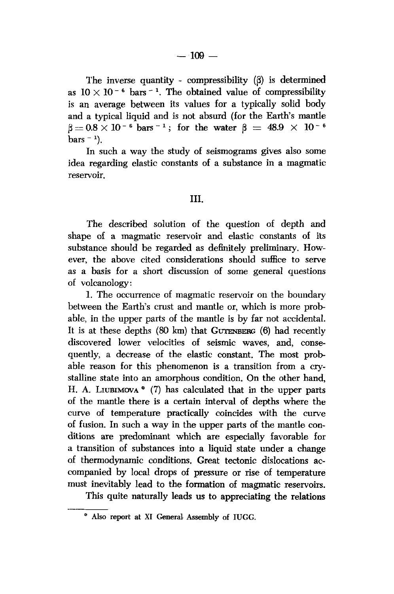The inverse quantity - compressibility  $(\beta)$  is determined as  $10 \times 10^{-6}$  bars <sup>- 1</sup>. The obtained value of compressibility is an average between its values for a typically solid body and a typical liquid and is not absurd (for the Earth's mantle  $\beta = 0.8 \times 10^{-6}$  bars<sup>-1</sup>; for the water  $\beta = 48.9 \times 10^{-6}$ bars  $^{-1}$ ).

In such a way the study of seismograms gives also some idea regarding elastic constants of a substance in a magmatic reservoir.

## III.

The described solution of the question of depth and shape of a magmatic reservoir and elastic constants of its substance should be regarded as definitely preliminary. However, the above cited considerations should suffice to serve as a basis for a short discussion of some general questions of volcanology:

1. The occurrence of magmatic reservoir on the boundary between the Earth's crust and mantle or, which is more probable, in the upper parts of the mantle is by far not accidental. It is at these depths  $(80 \text{ km})$  that GUTENBERG  $(6)$  had recently discovered lower velocities of seismic waves, and, consequently, a decrease of the elastic constant. The most probable reason for this phenomenon is a transition from a crystalline state into an amorphous condition. On the other hand, H. A. LIUBIMOVA  $*$  (7) has calculated that in the upper parts of the mantle there is a certain interval of depths where the curve of temperature practically coincides with the curve of fusion. In such a way in the upper parts of the mantle conditions are predominant which are especially favorable for a transition of substances into a liquid state under a change of thermodynamic conditions. Great tectonic dislocations accompanied by local drops of pressure or rise of temperature must inevitably lead to the formation of magmatic reservoirs.

This quite naturally leads us to appreciating the relations

<sup>\*</sup> Also report at XI General, Assembly of IUGG.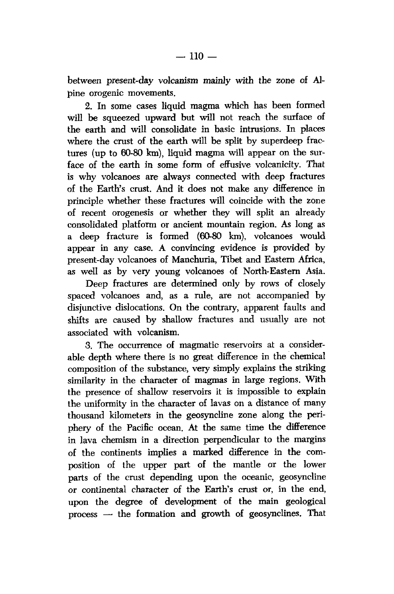between present-day volcanism mainly with the *zone of Al*pine orogenic movements.

2. In some cases liquid magma which has been formed will be squeezed upward but will not reach the surface of the earth and will consolidate in basic intrusions. In places where the crust of the earth will be split by superdeep fractures (up to 60-80 km), liquid magma will appear on the surface of the earth in some form of effusive volcanieity. That is why volcanoes are always connected with deep fractures of the Earth's crust. And it does not make any difference in principle whether these fractures will coincide with the zone of recent orogenesis or whether they will split an already consolidated platform or ancient mountain region. As long as a deep fracture is formed (60-80 km), volcanoes would appear in any case. A convincing evidence is provided by present-day volcanoes of Manchuria, Tibet and Eastern Africa, as well as by very young volcanoes of North-Eastern *Asia.* 

Deep fractures are determined only by rows of closely spaced volcanoes and, as a rule, are not accompanied by disjunctive dislocations. On the contrary, apparent faults and shifts are caused by shallow fractures and usually are not associated with volcanism.

8. The occurrence of magmatic reservoirs at a considerable depth where there is no great difference in the chemical composition of the substance, very simply explains the striking similarity in the character of magmas in large regions. With the presence of shallow reservoirs it is impossible to explain the uniformity in the character of lavas on a distance of many thousand kilometers in the geosyncline zone along the periphery of the Pacific ocean. At the same time the difference in lava chemism in a direction perpendicular to the margins of the continents implies a marked difference in the composition of the upper part of the mantle or the lower parts of the crust depending upon the oceanic, geosyncline or continental character of the Earth's crust or, in the end, upon the degree of development of the main geological  $process$   $-$  the formation and growth of geosynclines. That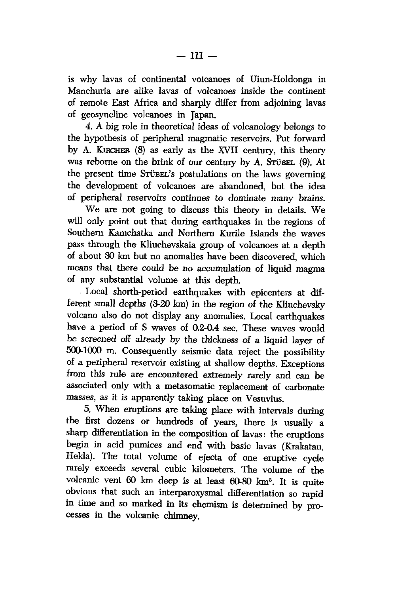is why lavas of continental volcanoes of Uiun-Holdonga in Manchuria are alike lavas of volcanoes inside the continent of remote East Africa and sharply differ from adjoining lavas of geosyncline volcanoes in Japan.

4. A big role in theoretical ideas of volcanology belongs to the hypothesis of peripheral magmatic reservoirs. Put forward by A. KIRCHER  $(8)$  as early as the XVII century, this theory was reborne on the brink of our century by A. Srüben.  $(9)$ . At the present time STÜBEL's postulations on the laws governing the development of volcanoes are abandoned, but the idea of peripheral reservoirs continues to dominate many brains.

We are not going to discuss this theory in details. We will only point out that during earthquakes in the regions of Southern Kamchatka and Northern Kurile Islands the waves pass through the Kliuchevskaia group of volcanoes at a depth of about 30 km but no anomalies have been discovered, which means that there could be no accumulation of liquid magma of any substantial volume at this depth.

Local shorth-period earthquakes with epicenters at different small depths (8-20 km) in the *region* of the Kliuchevsky volcano also do not display any anomalies. Local earthquakes have a period of S waves of 0.2-0.4 sec. These waves would be screened off already by *the* thickness of a liquid layer of 500-1000 m. Consequently seismic data reject the possibility of a peripheral reservoir existing at shallow depths. Exceptions from this rule are encountered *extremely rarely* and can be associated only with a metasomatic replacement of carbonate masses, as it is apparently taking place on Vesuvius.

5. When eruptions are taking place with intervals during the first dozens or hundreds of years, there is usually a sharp differentiation in the composition of lavas: the eruptions begin in acid pumices and end with basic lavas (Krakatau, Hekla). The total volume of ejecta of one eruptive cycle rarely exceeds several cubic kilometers. The volume of the volcanic vent 60 km deep is at least 60-80 km<sup>3</sup>. It is quite obvious that such an interparoxysmal differentiation so rapid in time and so marked in its ehemism is determined by processes in the volcanic chimney.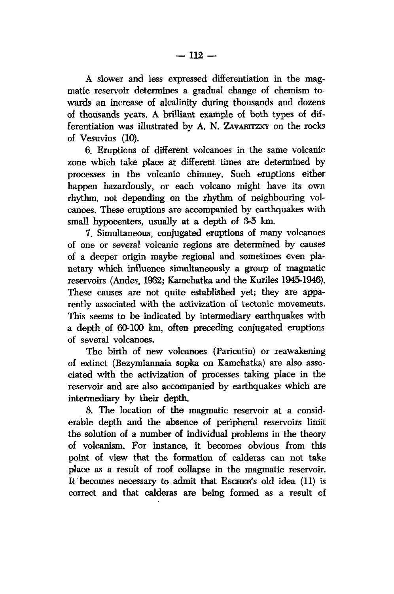A slower and less expressed differentiation in the magmatic reservoir determines a gradual change of chemism towards an increase of alcalinity during thousands and dozens of thousands years. A brilliant example of both types of differentiation was illustrated by A. N. ZAVARITZKY on the rocks of Vesuvius (10).

6. Eruptions of different volcanoes in the same volcanic zone which take place at different times are determined by processes in the volcanic chimney. Such eruptions either happen hazardously, or each volcano might have its own rhythm, not depending on the rhythm of neighbouring volcanoes. These eruptions are accompanied by earthquakes with small hypocenters, usually at a depth of 8-5 km.

7. Simultaneous, conjugated eruptions of many volcanoes of one or several volcanic regions are determined by causes of a deeper origin maybe regional and sometimes even planetary which influence simultaneously a group of magmatic reservoirs (Andes, 1982; Kamchatka and the Kuriles 1945-1946). These causes are not quite established yet; they are apparently associated with the activization of tectonic movements. This seems to be indicated by intermediary earthquakes with a depth of 60-100 km, often preceding conjugated eruptions of several volcanoes.

The birth of new volcanoes (Paricutin) or reawakening of extinct (Bezymiannaia sopka on Kamchatka) are also associated with the activization of processes taking place in the reservoir and are also accompanied by earthquakes which are intermediary by their depth.

8. The location of the magmatic reservoir at a considerable depth and the absence of peripheral reservoirs limit the solution of a number of individual problems in the theory of volcanism. For instance, it becomes obvious from this point of view that the formation of calderas can not take place as a result of roof collapse in the magmatic reservoir. It becomes necessary to admit that Eschen's old idea (11) is correct and that calderas are being formed as a result of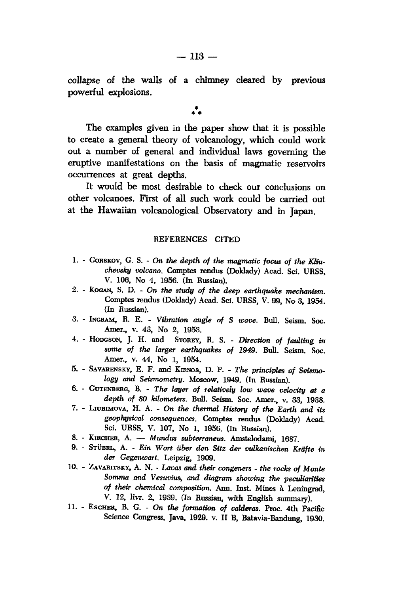collapse of the walls of a chimney cleared by previous powerful explosions.

#### \*\*

The examples given in the paper show that it is possible to create a general theory of volcanology, which could work out a number of general and individual laws governing the eruptive manifestations on the basis of magmatie reservoirs occurrences at great depths.

It would be most desirable to check our conclusions on other volcanoes. First of all such work could be carried out at the Hawaiian volcanological Observatory and in Japan.

#### REFERENCES CITED

- 1. GORSKOV, G. S. On the *depth* of the magmatic focus of the Kliu*chevsky volcano.* Comptes rendus (Doldady) Aead. Sei. URSS, V. 106, No 4, 1956. (In Russian).
- *2. KOC, AN~ S. D. On the study of the deep earthquake mechanism.*  Comptes rendus (Doklady) Acad. Sci. URSS, V. 99, No 3, 1954. (In Russian).
- *3. IN~M, R. E. Vibration angle of S wave. Bull. Seism. Soc.*  Amer., v. 43, No 2, 1958.
- 4. HODGSON, J. H. and STOREY, R. S. *Direction of faulting in some of the larger earthquakes of 1949.* Bull. Seism. Soc. Amer., v. 44, No 1, 1954.
- 5. SAVARENSKY, E. F. and KIRNOS, D. P. The principles of Seismo*logy and Seismometry.* Moscow, 1949. (In Russian).
- *6. GtrrENBFa~G, B. The layer of relatively low wave velocity at a depth of 80 kilometers.* Bull. Seism. Soe. Amer., v. 88, 1938.
- 7. LitrmMovA, *H. A. On the thermal History of the Earth and its geophysical consequences.* Comptes rendus (Doklady) Aead. Sci. URSS, V. 107, No 1, 1956. (In Russian).
- 8. KmcH~, *A. -- Mundus subterraneus.* Amstelodami, 1687.
- *9. STring.L, A. Ein Wort iiber den Sitz der vulkanischen Krilfte in der Gegenwart.* Leipzig, 1909.
- 10. ZAWnaITSKY, *A. N. Lavas and their congeners the rocks of Monte*  Somma and Vesuvius, and diagram showing the peculiarities of their chemical composition. Ann. Inst. Mines à Leningrad, V. 12, livr. 2, 1989. (In Russian, with English summary).
- 11. Eschen, B. G. On the formation of calderas. Proc. 4th Pacific Science Congress, Java, 1929. v. II B, Batavia-Bandung, 1930.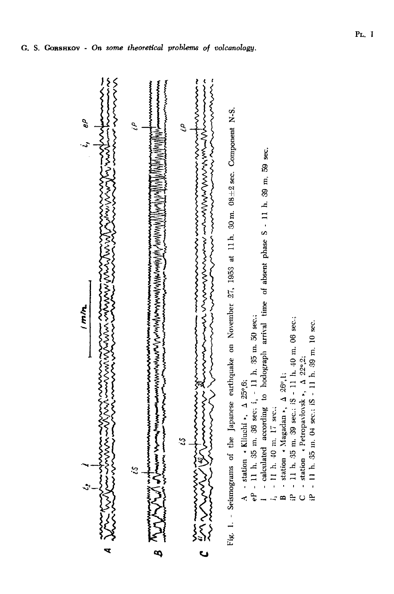|   | ر<br>م                                                                                                   | / m/n.                                                                                                                                                                                       | $i, e^{\rho}$ |
|---|----------------------------------------------------------------------------------------------------------|----------------------------------------------------------------------------------------------------------------------------------------------------------------------------------------------|---------------|
| प |                                                                                                          |                                                                                                                                                                                              |               |
|   | Š,                                                                                                       |                                                                                                                                                                                              |               |
|   | S                                                                                                        |                                                                                                                                                                                              |               |
|   | - 11 h. 35 m. 36 sec; i, $-$ 11 h. 35 m. 50 sec.;<br>- station « Kliuchi », A 25°, 6;<br>tig. 1. - Seism | ograms of the Japanese earthquake on November 27, 1953 at 11 h. 30 m. 08 ± 2 sec. Component N-S.<br>- calculated according to hodograph arrival time of absent phase S - 11 h. 39 m. 59 sec. |               |
|   | $-11$ h. 40 m. 17 sec.;                                                                                  |                                                                                                                                                                                              |               |

- $B -$  station  $\epsilon$  Magadan  $\epsilon$ ,  $\Delta$  26°, 1;
- iP 11 h. :35 m. 39 see.: iS 11 h. 40 m. 06 sec.;  $m \approx 0.9$
- station  $\star$  Magadan  $\star$ ,  $\Delta 26^{\circ}$ , 1;<br>
11 h. 35 m. 39 sec.; 15 11 h. 40 m. 06 sec.;<br>
station  $\star$  Petropavlovsk  $\star$ ,  $\Delta 22^{\circ}$ , 2;<br>
11 h. 35 m. 04 sec.; 15 11 h. 39 m. 10 sec. C - station  $\cdot$  Petropaviovsk  $\cdot$ ,  $\Delta$  22°, 2;
	- iP I1 h. 35 m. 04 see.- iS i1 h. :39 m. 10 sec.